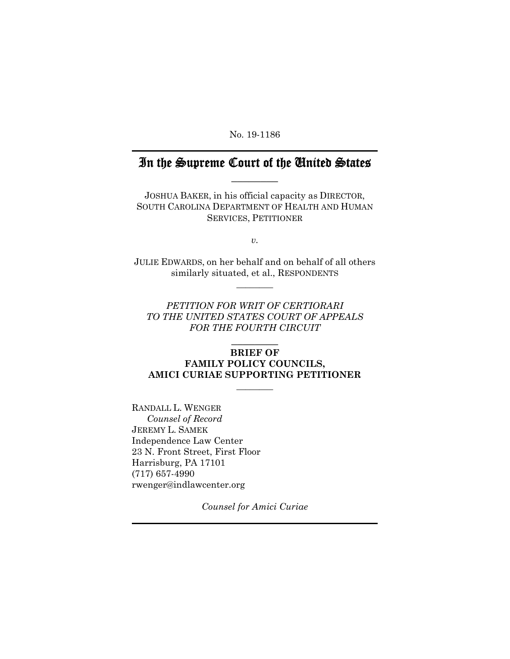No. 19-1186

# In the Supreme Court of the United States  $\frac{1}{2}$

JOSHUA BAKER, in his official capacity as DIRECTOR, SOUTH CAROLINA DEPARTMENT OF HEALTH AND HUMAN SERVICES, PETITIONER

 $v^2$ 

JULIE EDWARDS, on her behalf and on behalf of all others similarly situated, et al., RESPONDENTS  $\overline{\phantom{a}}$   $\overline{\phantom{a}}$ 

*PETITION FOR WRIT OF CERTIORARI TO THE UNITED STATES COURT OF APPEALS FOR THE FOURTH CIRCUIT* 

### $\frac{1}{2}$ **BRIEF OF**

### **FAMILY POLICY COUNCILS, AMICI CURIAE SUPPORTING PETITIONER**

 $\overline{\phantom{a}}$ 

RANDALL L. WENGER  *Counsel of Record*  JEREMY L. SAMEK Independence Law Center 23 N. Front Street, First Floor Harrisburg, PA 17101 (717) 657-4990 rwenger@indlawcenter.org

*Counsel for Amici Curiae*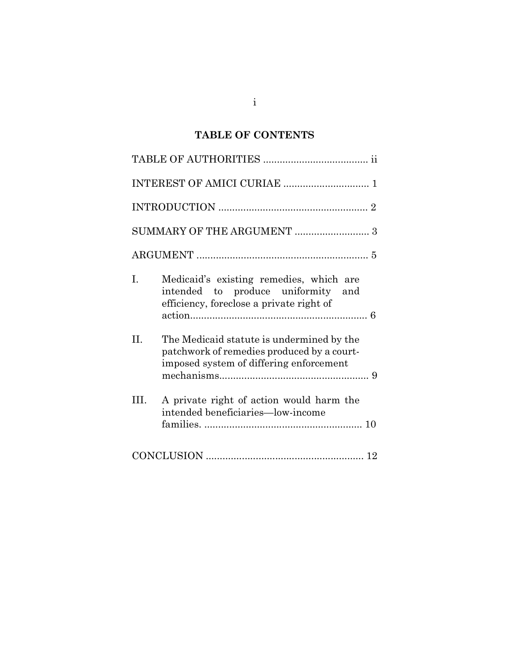# TABLE OF CONTENTS

| L.<br>Medicaid's existing remedies, which are<br>intended to produce uniformity and<br>efficiency, foreclose a private right of               |
|-----------------------------------------------------------------------------------------------------------------------------------------------|
| $\Pi$ .<br>The Medicaid statute is undermined by the<br>patchwork of remedies produced by a court-<br>imposed system of differing enforcement |
| HI.<br>A private right of action would harm the<br>intended beneficiaries—low-income                                                          |
|                                                                                                                                               |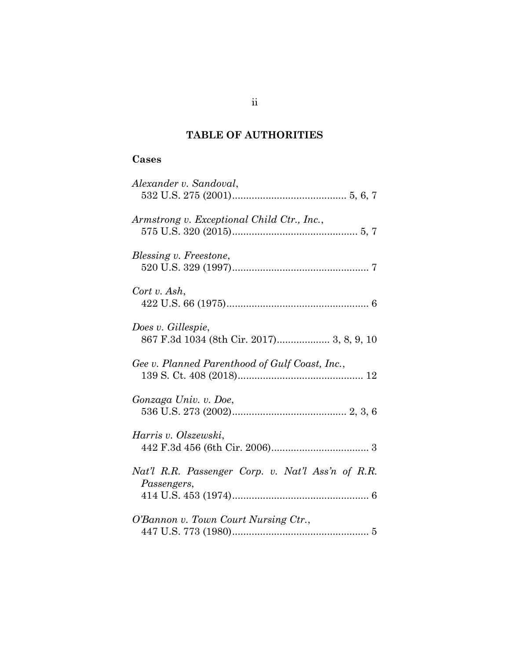## TABLE OF AUTHORITIES

## Cases

| Alexander v. Sandoval,                                           |
|------------------------------------------------------------------|
| Armstrong v. Exceptional Child Ctr., Inc.,                       |
| Blessing v. Freestone,                                           |
| Cort v. Ash,                                                     |
| Does v. Gillespie,<br>867 F.3d 1034 (8th Cir. 2017) 3, 8, 9, 10  |
| Gee v. Planned Parenthood of Gulf Coast, Inc.,                   |
| Gonzaga Univ. v. Doe,                                            |
| Harris v. Olszewski,                                             |
| Nat'l R.R. Passenger Corp. v. Nat'l Ass'n of R.R.<br>Passengers, |
| O'Bannon v. Town Court Nursing Ctr.,                             |
|                                                                  |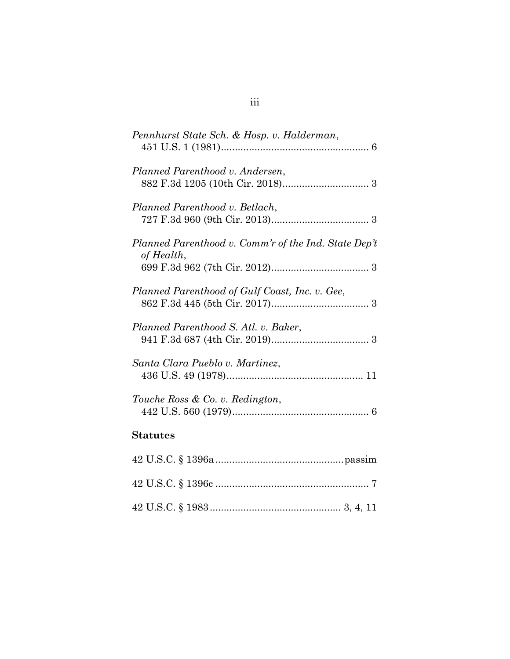| Pennhurst State Sch. & Hosp. v. Halderman,                         |
|--------------------------------------------------------------------|
| Planned Parenthood v. Andersen,                                    |
| Planned Parenthood v. Betlach,                                     |
| Planned Parenthood v. Comm'r of the Ind. State Dep't<br>of Health, |
| Planned Parenthood of Gulf Coast, Inc. v. Gee,                     |
| Planned Parenthood S. Atl. v. Baker,                               |
| Santa Clara Pueblo v. Martinez,                                    |
| Touche Ross & Co. v. Redington,                                    |
| <b>Statutes</b>                                                    |
|                                                                    |
|                                                                    |

42 U.S.C. § 1983 ............................................... 3, 4, 11

# iii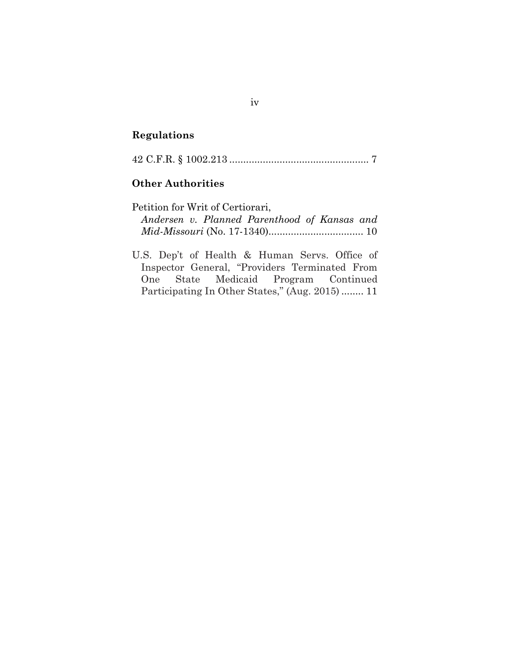## Regulations

42 C.F.R. § 1002.213 .................................................. 7

### Other Authorities

| Petition for Writ of Certiorari, |  |                                              |  |  |
|----------------------------------|--|----------------------------------------------|--|--|
|                                  |  | Andersen v. Planned Parenthood of Kansas and |  |  |
|                                  |  |                                              |  |  |

U.S. Dep't of Health & Human Servs. Office of Inspector General, "Providers Terminated From One State Medicaid Program Continued Participating In Other States," (Aug. 2015) ........ 11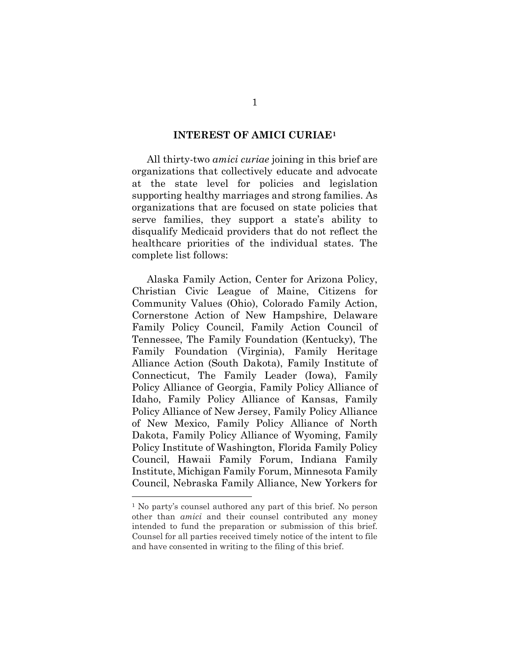#### INTEREST OF AMICI CURIAE<sup>1</sup>

All thirty-two amici curiae joining in this brief are organizations that collectively educate and advocate at the state level for policies and legislation supporting healthy marriages and strong families. As organizations that are focused on state policies that serve families, they support a state's ability to disqualify Medicaid providers that do not reflect the healthcare priorities of the individual states. The complete list follows:

Alaska Family Action, Center for Arizona Policy, Christian Civic League of Maine, Citizens for Community Values (Ohio), Colorado Family Action, Cornerstone Action of New Hampshire, Delaware Family Policy Council, Family Action Council of Tennessee, The Family Foundation (Kentucky), The Family Foundation (Virginia), Family Heritage Alliance Action (South Dakota), Family Institute of Connecticut, The Family Leader (Iowa), Family Policy Alliance of Georgia, Family Policy Alliance of Idaho, Family Policy Alliance of Kansas, Family Policy Alliance of New Jersey, Family Policy Alliance of New Mexico, Family Policy Alliance of North Dakota, Family Policy Alliance of Wyoming, Family Policy Institute of Washington, Florida Family Policy Council, Hawaii Family Forum, Indiana Family Institute, Michigan Family Forum, Minnesota Family Council, Nebraska Family Alliance, New Yorkers for

<sup>1</sup> No party's counsel authored any part of this brief. No person other than amici and their counsel contributed any money intended to fund the preparation or submission of this brief. Counsel for all parties received timely notice of the intent to file and have consented in writing to the filing of this brief.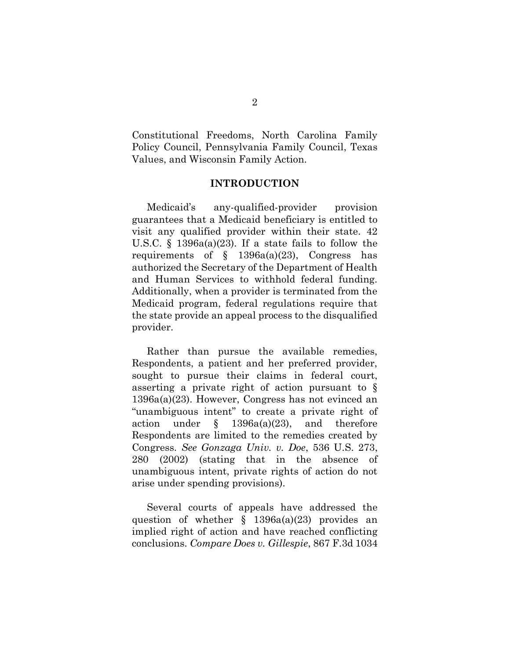Constitutional Freedoms, North Carolina Family Policy Council, Pennsylvania Family Council, Texas Values, and Wisconsin Family Action.

### INTRODUCTION

Medicaid's any-qualified-provider provision guarantees that a Medicaid beneficiary is entitled to visit any qualified provider within their state. 42 U.S.C.  $\S$  1396a(a)(23). If a state fails to follow the requirements of  $\S$  1396a(a)(23), Congress has authorized the Secretary of the Department of Health and Human Services to withhold federal funding. Additionally, when a provider is terminated from the Medicaid program, federal regulations require that the state provide an appeal process to the disqualified provider.

Rather than pursue the available remedies, Respondents, a patient and her preferred provider, sought to pursue their claims in federal court, asserting a private right of action pursuant to § 1396a(a)(23). However, Congress has not evinced an "unambiguous intent" to create a private right of action under  $\S$  1396a(a)(23), and therefore Respondents are limited to the remedies created by Congress. See Gonzaga Univ. v. Doe, 536 U.S. 273, 280 (2002) (stating that in the absence of unambiguous intent, private rights of action do not arise under spending provisions).

Several courts of appeals have addressed the question of whether  $\S$  1396a(a)(23) provides an implied right of action and have reached conflicting conclusions. Compare Does v. Gillespie, 867 F.3d 1034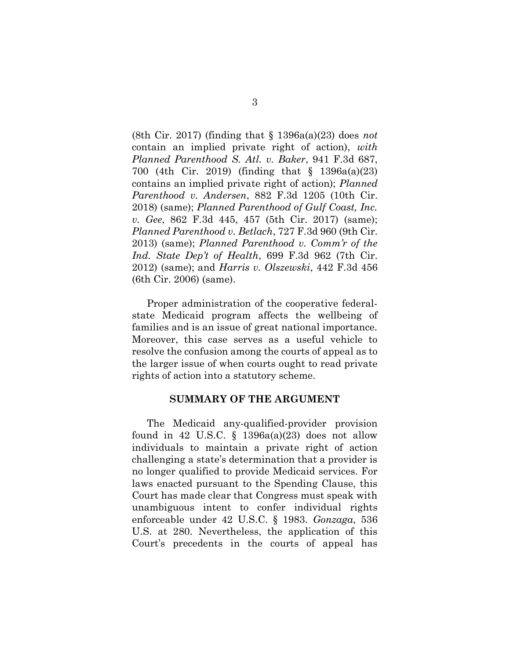(8th Cir. 2017) (finding that  $\S$  1396a(a)(23) does not contain an implied private right of action), with Planned Parenthood S. Atl. v. Baker, 941 F.3d 687, 700 (4th Cir. 2019) (finding that § 1396a(a)(23) contains an implied private right of action); Planned Parenthood v. Andersen, 882 F.3d 1205 (10th Cir. 2018) (same); Planned Parenthood of Gulf Coast, Inc. v. Gee, 862 F.3d 445, 457 (5th Cir. 2017) (same); Planned Parenthood v. Betlach, 727 F.3d 960 (9th Cir. 2013) (same); Planned Parenthood v. Comm'r of the Ind. State Dep't of Health, 699 F.3d 962 (7th Cir. 2012) (same); and Harris v. Olszewski, 442 F.3d 456 (6th Cir. 2006) (same).

Proper administration of the cooperative federalstate Medicaid program affects the wellbeing of families and is an issue of great national importance. Moreover, this case serves as a useful vehicle to resolve the confusion among the courts of appeal as to the larger issue of when courts ought to read private rights of action into a statutory scheme.

#### SUMMARY OF THE ARGUMENT

The Medicaid any-qualified-provider provision found in 42 U.S.C. §  $1396a(a)(23)$  does not allow individuals to maintain a private right of action challenging a state's determination that a provider is no longer qualified to provide Medicaid services. For laws enacted pursuant to the Spending Clause, this Court has made clear that Congress must speak with unambiguous intent to confer individual rights enforceable under 42 U.S.C. § 1983. Gonzaga, 536 U.S. at 280. Nevertheless, the application of this Court's precedents in the courts of appeal has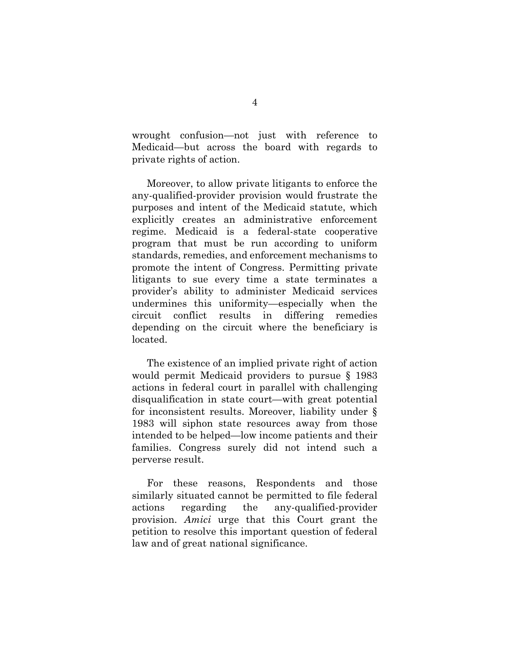wrought confusion—not just with reference to Medicaid—but across the board with regards to private rights of action.

Moreover, to allow private litigants to enforce the any-qualified-provider provision would frustrate the purposes and intent of the Medicaid statute, which explicitly creates an administrative enforcement regime. Medicaid is a federal-state cooperative program that must be run according to uniform standards, remedies, and enforcement mechanisms to promote the intent of Congress. Permitting private litigants to sue every time a state terminates a provider's ability to administer Medicaid services undermines this uniformity—especially when the circuit conflict results in differing remedies depending on the circuit where the beneficiary is located.

The existence of an implied private right of action would permit Medicaid providers to pursue § 1983 actions in federal court in parallel with challenging disqualification in state court—with great potential for inconsistent results. Moreover, liability under § 1983 will siphon state resources away from those intended to be helped—low income patients and their families. Congress surely did not intend such a perverse result.

For these reasons, Respondents and those similarly situated cannot be permitted to file federal actions regarding the any-qualified-provider provision. Amici urge that this Court grant the petition to resolve this important question of federal law and of great national significance.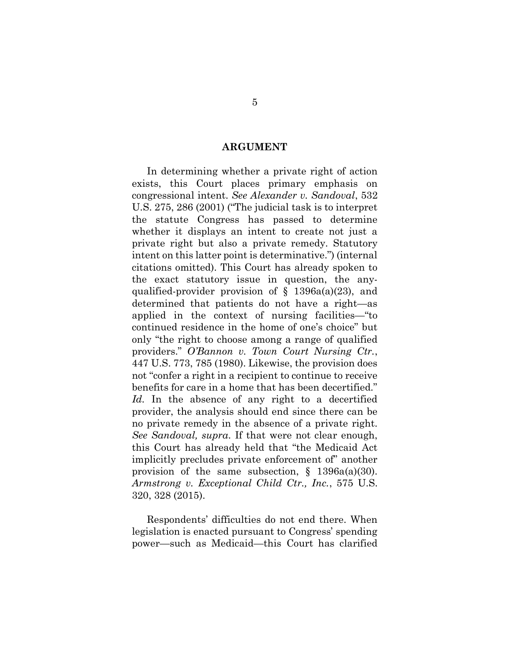#### ARGUMENT

In determining whether a private right of action exists, this Court places primary emphasis on congressional intent. See Alexander v. Sandoval, 532 U.S. 275, 286 (2001) ("The judicial task is to interpret the statute Congress has passed to determine whether it displays an intent to create not just a private right but also a private remedy. Statutory intent on this latter point is determinative.") (internal citations omitted). This Court has already spoken to the exact statutory issue in question, the anyqualified-provider provision of  $\S$  1396a(a)(23), and determined that patients do not have a right—as applied in the context of nursing facilities—"to continued residence in the home of one's choice" but only "the right to choose among a range of qualified providers." O'Bannon v. Town Court Nursing Ctr., 447 U.S. 773, 785 (1980). Likewise, the provision does not "confer a right in a recipient to continue to receive benefits for care in a home that has been decertified." Id. In the absence of any right to a decertified provider, the analysis should end since there can be no private remedy in the absence of a private right. See Sandoval, supra. If that were not clear enough, this Court has already held that "the Medicaid Act implicitly precludes private enforcement of" another provision of the same subsection,  $\S$  1396a(a)(30). Armstrong v. Exceptional Child Ctr., Inc., 575 U.S. 320, 328 (2015).

Respondents' difficulties do not end there. When legislation is enacted pursuant to Congress' spending power—such as Medicaid—this Court has clarified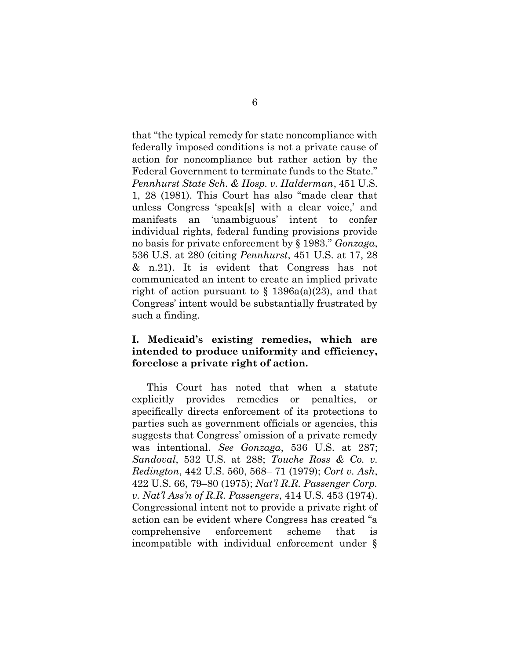that "the typical remedy for state noncompliance with federally imposed conditions is not a private cause of action for noncompliance but rather action by the Federal Government to terminate funds to the State." Pennhurst State Sch. & Hosp. v. Halderman, 451 U.S. 1, 28 (1981). This Court has also "made clear that unless Congress 'speak[s] with a clear voice,' and manifests an 'unambiguous' intent to confer individual rights, federal funding provisions provide no basis for private enforcement by § 1983." Gonzaga, 536 U.S. at 280 (citing Pennhurst, 451 U.S. at 17, 28 & n.21). It is evident that Congress has not communicated an intent to create an implied private right of action pursuant to  $\S$  1396a(a)(23), and that Congress' intent would be substantially frustrated by such a finding.

### I. Medicaid's existing remedies, which are intended to produce uniformity and efficiency, foreclose a private right of action.

This Court has noted that when a statute explicitly provides remedies or penalties, or specifically directs enforcement of its protections to parties such as government officials or agencies, this suggests that Congress' omission of a private remedy was intentional. See Gonzaga, 536 U.S. at 287; Sandoval, 532 U.S. at 288; Touche Ross & Co. v. Redington, 442 U.S. 560, 568– 71 (1979); Cort v. Ash, 422 U.S. 66, 79–80 (1975); Nat'l R.R. Passenger Corp. v. Nat'l Ass'n of R.R. Passengers, 414 U.S. 453 (1974). Congressional intent not to provide a private right of action can be evident where Congress has created "a comprehensive enforcement scheme that is incompatible with individual enforcement under §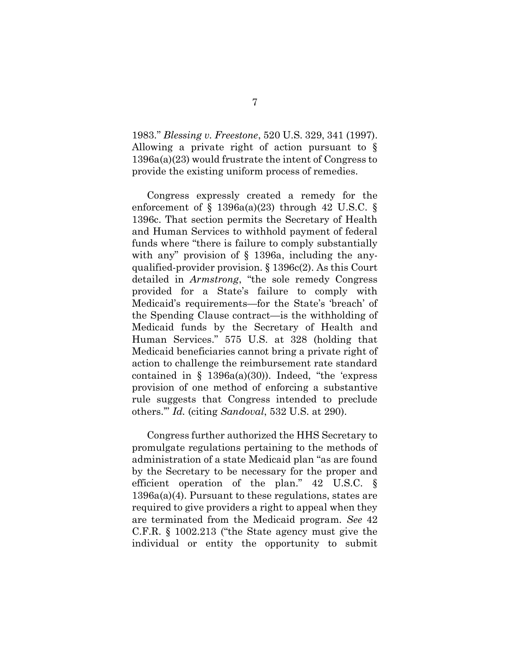1983." Blessing v. Freestone, 520 U.S. 329, 341 (1997). Allowing a private right of action pursuant to § 1396a(a)(23) would frustrate the intent of Congress to provide the existing uniform process of remedies.

Congress expressly created a remedy for the enforcement of  $\S$  1396a(a)(23) through 42 U.S.C.  $\S$ 1396c. That section permits the Secretary of Health and Human Services to withhold payment of federal funds where "there is failure to comply substantially with any" provision of  $\S$  1396a, including the anyqualified-provider provision. § 1396c(2). As this Court detailed in Armstrong, "the sole remedy Congress provided for a State's failure to comply with Medicaid's requirements—for the State's 'breach' of the Spending Clause contract—is the withholding of Medicaid funds by the Secretary of Health and Human Services." 575 U.S. at 328 (holding that Medicaid beneficiaries cannot bring a private right of action to challenge the reimbursement rate standard contained in  $\S$  1396a(a)(30)). Indeed, "the 'express provision of one method of enforcing a substantive rule suggests that Congress intended to preclude others.'" Id. (citing Sandoval, 532 U.S. at 290).

Congress further authorized the HHS Secretary to promulgate regulations pertaining to the methods of administration of a state Medicaid plan "as are found by the Secretary to be necessary for the proper and efficient operation of the plan." 42 U.S.C. § 1396a(a)(4). Pursuant to these regulations, states are required to give providers a right to appeal when they are terminated from the Medicaid program. See 42 C.F.R. § 1002.213 ("the State agency must give the individual or entity the opportunity to submit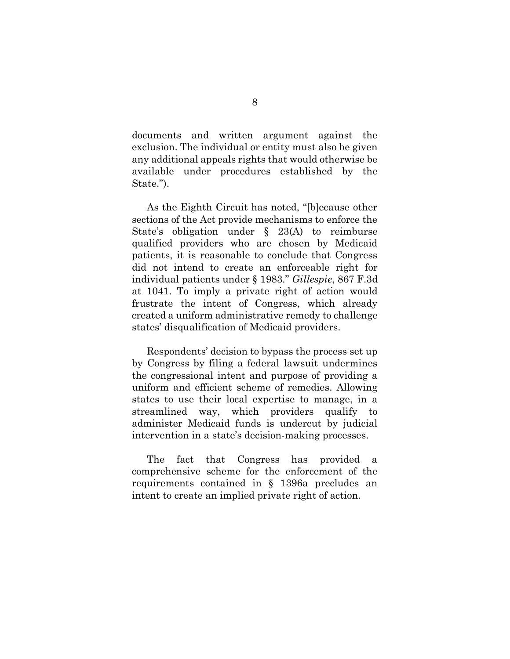documents and written argument against the exclusion. The individual or entity must also be given any additional appeals rights that would otherwise be available under procedures established by the State.").

As the Eighth Circuit has noted, "[b]ecause other sections of the Act provide mechanisms to enforce the State's obligation under § 23(A) to reimburse qualified providers who are chosen by Medicaid patients, it is reasonable to conclude that Congress did not intend to create an enforceable right for individual patients under § 1983." Gillespie, 867 F.3d at 1041. To imply a private right of action would frustrate the intent of Congress, which already created a uniform administrative remedy to challenge states' disqualification of Medicaid providers.

Respondents' decision to bypass the process set up by Congress by filing a federal lawsuit undermines the congressional intent and purpose of providing a uniform and efficient scheme of remedies. Allowing states to use their local expertise to manage, in a streamlined way, which providers qualify to administer Medicaid funds is undercut by judicial intervention in a state's decision-making processes.

The fact that Congress has provided a comprehensive scheme for the enforcement of the requirements contained in § 1396a precludes an intent to create an implied private right of action.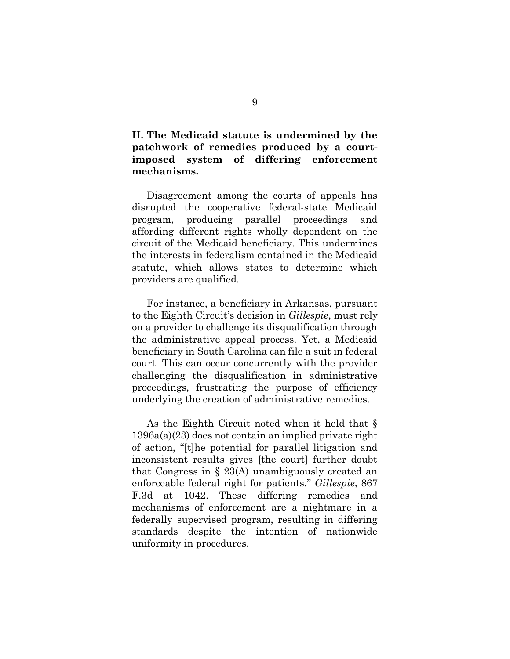II. The Medicaid statute is undermined by the patchwork of remedies produced by a courtimposed system of differing enforcement mechanisms.

Disagreement among the courts of appeals has disrupted the cooperative federal-state Medicaid program, producing parallel proceedings and affording different rights wholly dependent on the circuit of the Medicaid beneficiary. This undermines the interests in federalism contained in the Medicaid statute, which allows states to determine which providers are qualified.

For instance, a beneficiary in Arkansas, pursuant to the Eighth Circuit's decision in Gillespie, must rely on a provider to challenge its disqualification through the administrative appeal process. Yet, a Medicaid beneficiary in South Carolina can file a suit in federal court. This can occur concurrently with the provider challenging the disqualification in administrative proceedings, frustrating the purpose of efficiency underlying the creation of administrative remedies.

As the Eighth Circuit noted when it held that § 1396a(a)(23) does not contain an implied private right of action, "[t]he potential for parallel litigation and inconsistent results gives [the court] further doubt that Congress in § 23(A) unambiguously created an enforceable federal right for patients." Gillespie, 867 F.3d at 1042. These differing remedies and mechanisms of enforcement are a nightmare in a federally supervised program, resulting in differing standards despite the intention of nationwide uniformity in procedures.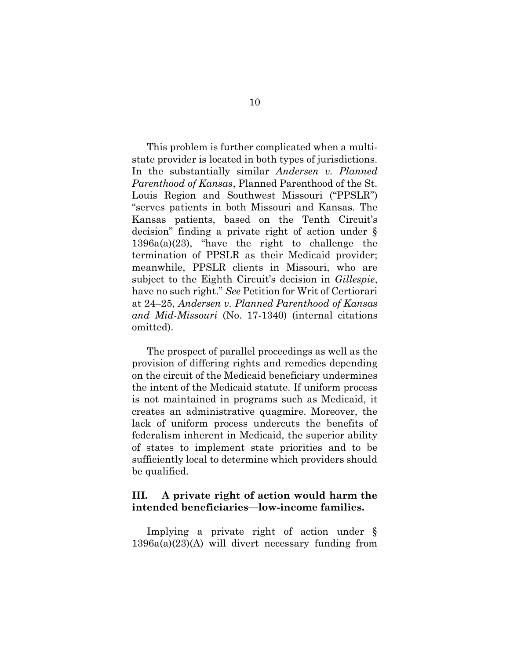This problem is further complicated when a multistate provider is located in both types of jurisdictions. In the substantially similar Andersen v. Planned Parenthood of Kansas, Planned Parenthood of the St. Louis Region and Southwest Missouri ("PPSLR") "serves patients in both Missouri and Kansas. The Kansas patients, based on the Tenth Circuit's decision" finding a private right of action under § 1396a(a)(23), "have the right to challenge the termination of PPSLR as their Medicaid provider; meanwhile, PPSLR clients in Missouri, who are subject to the Eighth Circuit's decision in Gillespie, have no such right." See Petition for Writ of Certiorari at 24–25, Andersen v. Planned Parenthood of Kansas and Mid-Missouri (No. 17-1340) (internal citations omitted).

The prospect of parallel proceedings as well as the provision of differing rights and remedies depending on the circuit of the Medicaid beneficiary undermines the intent of the Medicaid statute. If uniform process is not maintained in programs such as Medicaid, it creates an administrative quagmire. Moreover, the lack of uniform process undercuts the benefits of federalism inherent in Medicaid, the superior ability of states to implement state priorities and to be sufficiently local to determine which providers should be qualified.

### III. A private right of action would harm the intended beneficiaries—low-income families.

Implying a private right of action under § 1396a(a)(23)(A) will divert necessary funding from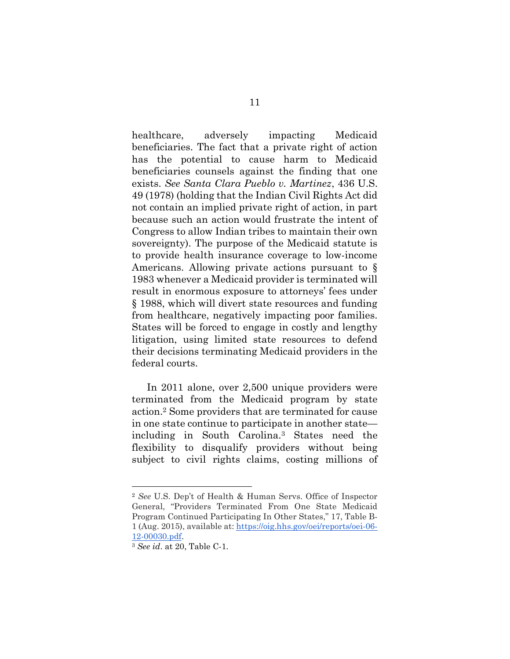healthcare, adversely impacting Medicaid beneficiaries. The fact that a private right of action has the potential to cause harm to Medicaid beneficiaries counsels against the finding that one exists. See Santa Clara Pueblo v. Martinez, 436 U.S. 49 (1978) (holding that the Indian Civil Rights Act did not contain an implied private right of action, in part because such an action would frustrate the intent of Congress to allow Indian tribes to maintain their own sovereignty). The purpose of the Medicaid statute is to provide health insurance coverage to low-income Americans. Allowing private actions pursuant to § 1983 whenever a Medicaid provider is terminated will result in enormous exposure to attorneys' fees under § 1988, which will divert state resources and funding from healthcare, negatively impacting poor families. States will be forced to engage in costly and lengthy litigation, using limited state resources to defend their decisions terminating Medicaid providers in the federal courts.

In 2011 alone, over 2,500 unique providers were terminated from the Medicaid program by state action.2 Some providers that are terminated for cause in one state continue to participate in another state including in South Carolina.3 States need the flexibility to disqualify providers without being subject to civil rights claims, costing millions of

<sup>2</sup> See U.S. Dep't of Health & Human Servs. Office of Inspector General, "Providers Terminated From One State Medicaid Program Continued Participating In Other States," 17, Table B-1 (Aug. 2015), available at: https://oig.hhs.gov/oei/reports/oei-06- 12-00030.pdf.

<sup>3</sup> See id. at 20, Table C-1.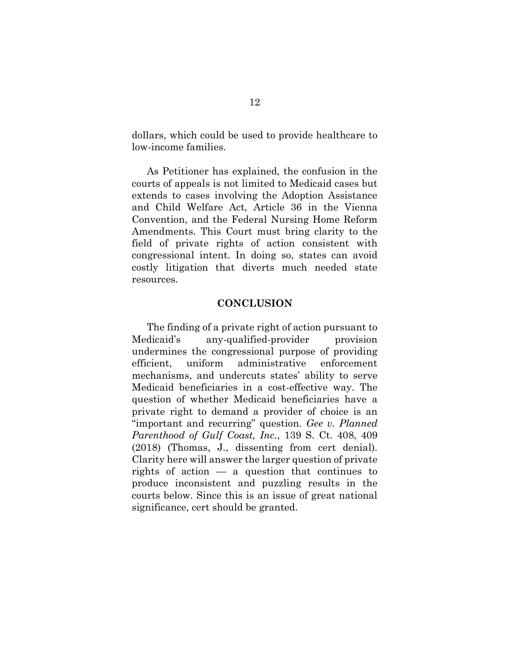dollars, which could be used to provide healthcare to low-income families.

As Petitioner has explained, the confusion in the courts of appeals is not limited to Medicaid cases but extends to cases involving the Adoption Assistance and Child Welfare Act, Article 36 in the Vienna Convention, and the Federal Nursing Home Reform Amendments. This Court must bring clarity to the field of private rights of action consistent with congressional intent. In doing so, states can avoid costly litigation that diverts much needed state resources.

#### **CONCLUSION**

The finding of a private right of action pursuant to Medicaid's any-qualified-provider provision undermines the congressional purpose of providing efficient, uniform administrative enforcement mechanisms, and undercuts states' ability to serve Medicaid beneficiaries in a cost-effective way. The question of whether Medicaid beneficiaries have a private right to demand a provider of choice is an "important and recurring" question. Gee v. Planned Parenthood of Gulf Coast, Inc., 139 S. Ct. 408, 409 (2018) (Thomas, J., dissenting from cert denial). Clarity here will answer the larger question of private rights of action  $-$  a question that continues to produce inconsistent and puzzling results in the courts below. Since this is an issue of great national significance, cert should be granted.